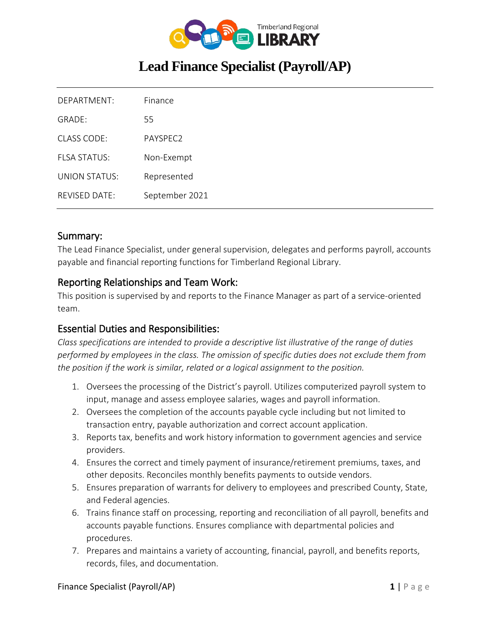

# **Lead Finance Specialist (Payroll/AP)**

| DEPARTMENT:          | Finance        |
|----------------------|----------------|
| GRADE:               | 55             |
| CLASS CODE:          | PAYSPEC2       |
| <b>FLSA STATUS:</b>  | Non-Exempt     |
| <b>UNION STATUS:</b> | Represented    |
| <b>REVISED DATE:</b> | September 2021 |

#### Summary:

The Lead Finance Specialist, under general supervision, delegates and performs payroll, accounts payable and financial reporting functions for Timberland Regional Library.

#### Reporting Relationships and Team Work:

This position is supervised by and reports to the Finance Manager as part of a service-oriented team.

## Essential Duties and Responsibilities:

*Class specifications are intended to provide a descriptive list illustrative of the range of duties performed by employees in the class. The omission of specific duties does not exclude them from the position if the work is similar, related or a logical assignment to the position.*

- 1. Oversees the processing of the District's payroll. Utilizes computerized payroll system to input, manage and assess employee salaries, wages and payroll information.
- 2. Oversees the completion of the accounts payable cycle including but not limited to transaction entry, payable authorization and correct account application.
- 3. Reports tax, benefits and work history information to government agencies and service providers.
- 4. Ensures the correct and timely payment of insurance/retirement premiums, taxes, and other deposits. Reconciles monthly benefits payments to outside vendors.
- 5. Ensures preparation of warrants for delivery to employees and prescribed County, State, and Federal agencies.
- 6. Trains finance staff on processing, reporting and reconciliation of all payroll, benefits and accounts payable functions. Ensures compliance with departmental policies and procedures.
- 7. Prepares and maintains a variety of accounting, financial, payroll, and benefits reports, records, files, and documentation.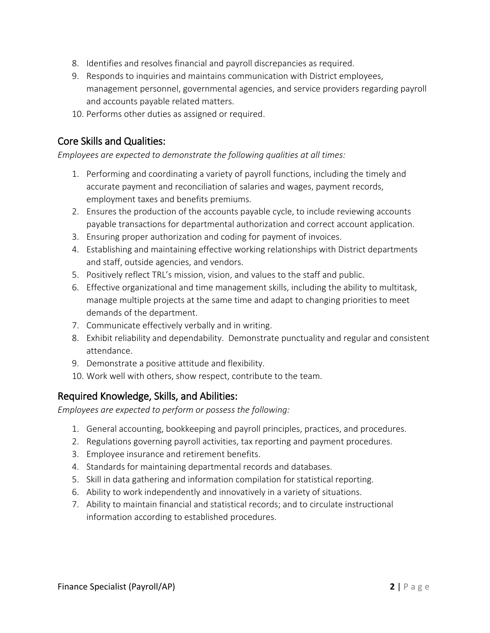- 8. Identifies and resolves financial and payroll discrepancies as required.
- 9. Responds to inquiries and maintains communication with District employees, management personnel, governmental agencies, and service providers regarding payroll and accounts payable related matters.
- 10. Performs other duties as assigned or required.

# Core Skills and Qualities:

*Employees are expected to demonstrate the following qualities at all times:*

- 1. Performing and coordinating a variety of payroll functions, including the timely and accurate payment and reconciliation of salaries and wages, payment records, employment taxes and benefits premiums.
- 2. Ensures the production of the accounts payable cycle, to include reviewing accounts payable transactions for departmental authorization and correct account application.
- 3. Ensuring proper authorization and coding for payment of invoices.
- 4. Establishing and maintaining effective working relationships with District departments and staff, outside agencies, and vendors.
- 5. Positively reflect TRL's mission, vision, and values to the staff and public.
- 6. Effective organizational and time management skills, including the ability to multitask, manage multiple projects at the same time and adapt to changing priorities to meet demands of the department.
- 7. Communicate effectively verbally and in writing.
- 8. Exhibit reliability and dependability. Demonstrate punctuality and regular and consistent attendance.
- 9. Demonstrate a positive attitude and flexibility.
- 10. Work well with others, show respect, contribute to the team.

## Required Knowledge, Skills, and Abilities:

*Employees are expected to perform or possess the following:*

- 1. General accounting, bookkeeping and payroll principles, practices, and procedures.
- 2. Regulations governing payroll activities, tax reporting and payment procedures.
- 3. Employee insurance and retirement benefits.
- 4. Standards for maintaining departmental records and databases.
- 5. Skill in data gathering and information compilation for statistical reporting.
- 6. Ability to work independently and innovatively in a variety of situations.
- 7. Ability to maintain financial and statistical records; and to circulate instructional information according to established procedures.